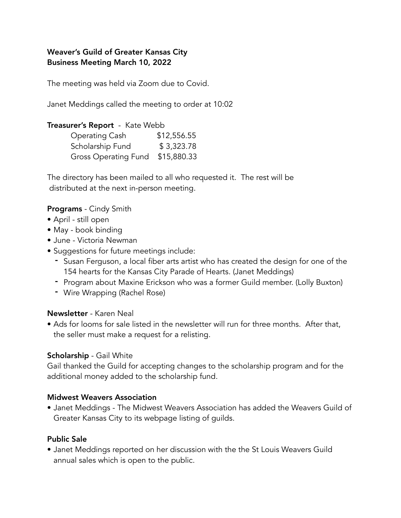## Weaver's Guild of Greater Kansas City Business Meeting March 10, 2022

The meeting was held via Zoom due to Covid.

Janet Meddings called the meeting to order at 10:02

#### Treasurer's Report - Kate Webb

| Operating Cash       | \$12,556.55 |
|----------------------|-------------|
| Scholarship Fund     | \$3,323.78  |
| Gross Operating Fund | \$15,880.33 |

The directory has been mailed to all who requested it. The rest will be distributed at the next in-person meeting.

#### Programs - Cindy Smith

- April still open
- May book binding
- June Victoria Newman
- Suggestions for future meetings include:
	- Susan Ferguson, a local fiber arts artist who has created the design for one of the 154 hearts for the Kansas City Parade of Hearts. (Janet Meddings)
	- Program about Maxine Erickson who was a former Guild member. (Lolly Buxton)
	- Wire Wrapping (Rachel Rose)

#### Newsletter - Karen Neal

• Ads for looms for sale listed in the newsletter will run for three months. After that, the seller must make a request for a relisting.

#### Scholarship - Gail White

Gail thanked the Guild for accepting changes to the scholarship program and for the additional money added to the scholarship fund.

#### Midwest Weavers Association

• Janet Meddings - The Midwest Weavers Association has added the Weavers Guild of Greater Kansas City to its webpage listing of guilds.

#### Public Sale

• Janet Meddings reported on her discussion with the the St Louis Weavers Guild annual sales which is open to the public.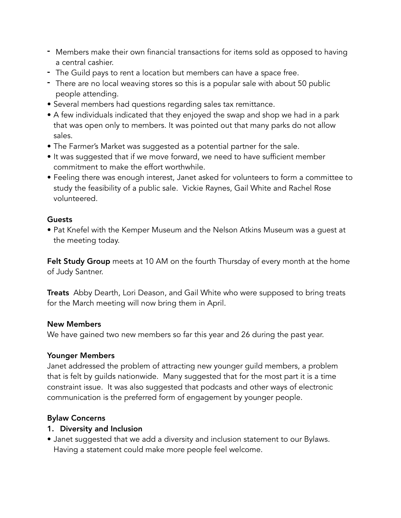- Members make their own financial transactions for items sold as opposed to having a central cashier.
- The Guild pays to rent a location but members can have a space free.
- There are no local weaving stores so this is a popular sale with about 50 public people attending.
- Several members had questions regarding sales tax remittance.
- A few individuals indicated that they enjoyed the swap and shop we had in a park that was open only to members. It was pointed out that many parks do not allow sales.
- The Farmer's Market was suggested as a potential partner for the sale.
- It was suggested that if we move forward, we need to have sufficient member commitment to make the effort worthwhile.
- Feeling there was enough interest, Janet asked for volunteers to form a committee to study the feasibility of a public sale. Vickie Raynes, Gail White and Rachel Rose volunteered.

## **Guests**

• Pat Knefel with the Kemper Museum and the Nelson Atkins Museum was a guest at the meeting today.

Felt Study Group meets at 10 AM on the fourth Thursday of every month at the home of Judy Santner.

**Treats** Abby Dearth, Lori Deason, and Gail White who were supposed to bring treats for the March meeting will now bring them in April.

## New Members

We have gained two new members so far this year and 26 during the past year.

## Younger Members

Janet addressed the problem of attracting new younger guild members, a problem that is felt by guilds nationwide. Many suggested that for the most part it is a time constraint issue. It was also suggested that podcasts and other ways of electronic communication is the preferred form of engagement by younger people.

## Bylaw Concerns

## 1. Diversity and Inclusion

• Janet suggested that we add a diversity and inclusion statement to our Bylaws. Having a statement could make more people feel welcome.